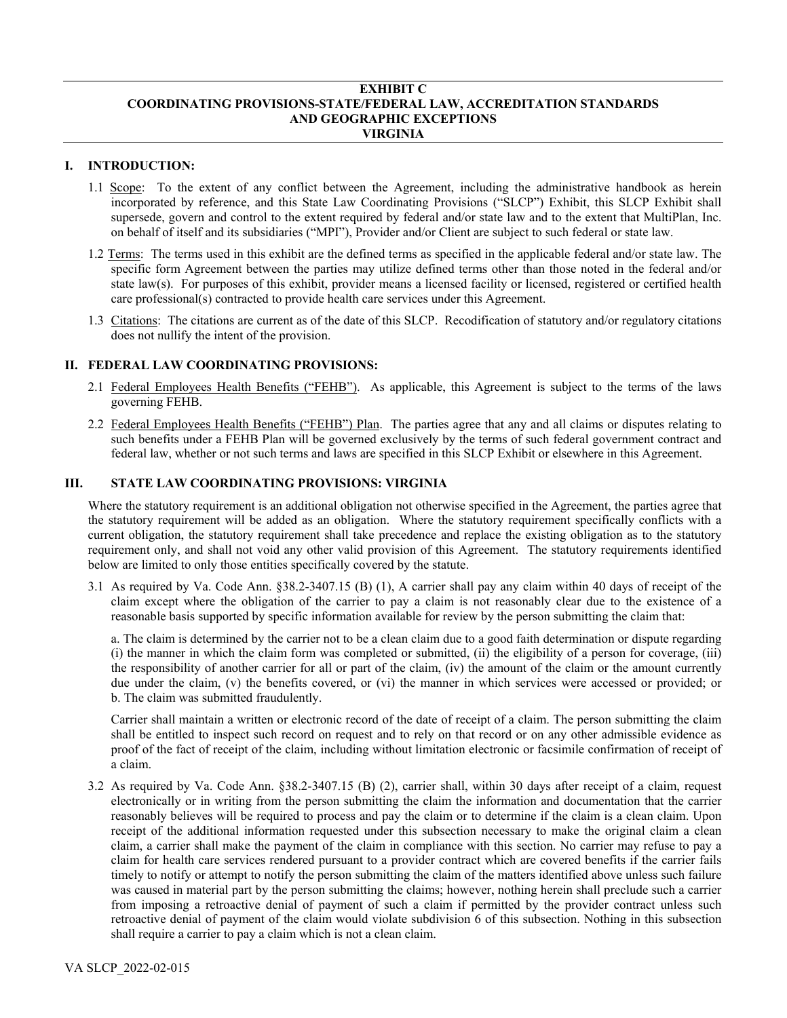#### **EXHIBIT C COORDINATING PROVISIONS-STATE/FEDERAL LAW, ACCREDITATION STANDARDS AND GEOGRAPHIC EXCEPTIONS VIRGINIA**

# **I. INTRODUCTION:**

- 1.1 Scope: To the extent of any conflict between the Agreement, including the administrative handbook as herein incorporated by reference, and this State Law Coordinating Provisions ("SLCP") Exhibit, this SLCP Exhibit shall supersede, govern and control to the extent required by federal and/or state law and to the extent that MultiPlan, Inc. on behalf of itself and its subsidiaries ("MPI"), Provider and/or Client are subject to such federal or state law.
- 1.2 Terms: The terms used in this exhibit are the defined terms as specified in the applicable federal and/or state law. The specific form Agreement between the parties may utilize defined terms other than those noted in the federal and/or state law(s). For purposes of this exhibit, provider means a licensed facility or licensed, registered or certified health care professional(s) contracted to provide health care services under this Agreement.
- 1.3 Citations: The citations are current as of the date of this SLCP. Recodification of statutory and/or regulatory citations does not nullify the intent of the provision.

### **II. FEDERAL LAW COORDINATING PROVISIONS:**

- 2.1 Federal Employees Health Benefits ("FEHB"). As applicable, this Agreement is subject to the terms of the laws governing FEHB.
- 2.2 Federal Employees Health Benefits ("FEHB") Plan. The parties agree that any and all claims or disputes relating to such benefits under a FEHB Plan will be governed exclusively by the terms of such federal government contract and federal law, whether or not such terms and laws are specified in this SLCP Exhibit or elsewhere in this Agreement.

### **III. STATE LAW COORDINATING PROVISIONS: VIRGINIA**

Where the statutory requirement is an additional obligation not otherwise specified in the Agreement, the parties agree that the statutory requirement will be added as an obligation. Where the statutory requirement specifically conflicts with a current obligation, the statutory requirement shall take precedence and replace the existing obligation as to the statutory requirement only, and shall not void any other valid provision of this Agreement. The statutory requirements identified below are limited to only those entities specifically covered by the statute.

3.1 As required by Va. Code Ann. §38.2-3407.15 (B) (1), A carrier shall pay any claim within 40 days of receipt of the claim except where the obligation of the carrier to pay a claim is not reasonably clear due to the existence of a reasonable basis supported by specific information available for review by the person submitting the claim that:

a. The claim is determined by the carrier not to be a clean claim due to a good faith determination or dispute regarding (i) the manner in which the claim form was completed or submitted, (ii) the eligibility of a person for coverage, (iii) the responsibility of another carrier for all or part of the claim, (iv) the amount of the claim or the amount currently due under the claim, (v) the benefits covered, or (vi) the manner in which services were accessed or provided; or b. The claim was submitted fraudulently.

Carrier shall maintain a written or electronic record of the date of receipt of a claim. The person submitting the claim shall be entitled to inspect such record on request and to rely on that record or on any other admissible evidence as proof of the fact of receipt of the claim, including without limitation electronic or facsimile confirmation of receipt of a claim.

3.2 As required by Va. Code Ann. §38.2-3407.15 (B) (2), carrier shall, within 30 days after receipt of a claim, request electronically or in writing from the person submitting the claim the information and documentation that the carrier reasonably believes will be required to process and pay the claim or to determine if the claim is a clean claim. Upon receipt of the additional information requested under this subsection necessary to make the original claim a clean claim, a carrier shall make the payment of the claim in compliance with this section. No carrier may refuse to pay a claim for health care services rendered pursuant to a provider contract which are covered benefits if the carrier fails timely to notify or attempt to notify the person submitting the claim of the matters identified above unless such failure was caused in material part by the person submitting the claims; however, nothing herein shall preclude such a carrier from imposing a retroactive denial of payment of such a claim if permitted by the provider contract unless such retroactive denial of payment of the claim would violate subdivision 6 of this subsection. Nothing in this subsection shall require a carrier to pay a claim which is not a clean claim.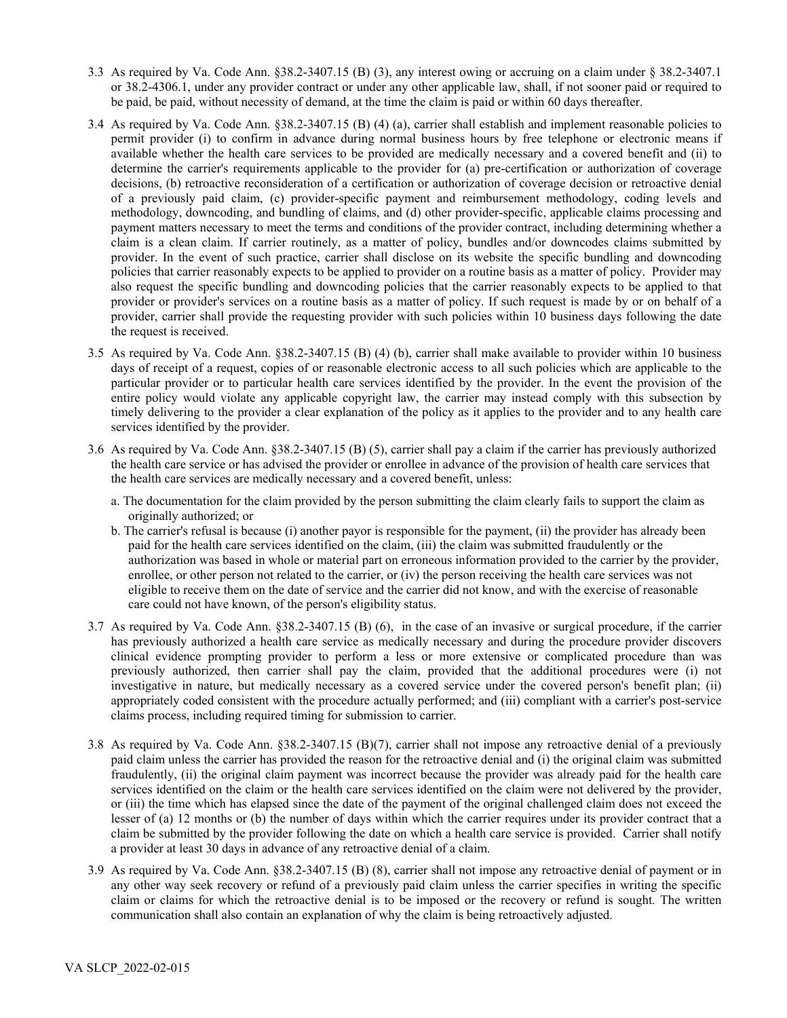- 3.3 As required by Va. Code Ann. §38.2-3407.15 (B) (3), any interest owing or accruing on a claim under [§ 38.2-3407.1](https://www.lexis.com/research/buttonTFLink?_m=e0e98f92a253a10759c4ac83ba129edc&_xfercite=%3ccite%20cc%3d%22USA%22%3e%3c%21%5bCDATA%5bVa.%20Code%20Ann.%20%a7%2038.2-3407.15%5d%5d%3e%3c%2fcite%3e&_butType=4&_butStat=0&_butNum=9&_butInline=1&_butinfo=VACODE%2038.2-3407.1&_fmtstr=FULL&docnum=1&_startdoc=1&wchp=dGLbVzk-zSkAA&_md5=d8e548473d21abd45708516bbafae69b) or 38.2-4306.1, under any provider contract or under any other applicable law, shall, if not sooner paid or required to be paid, be paid, without necessity of demand, at the time the claim is paid or within 60 days thereafter.
- 3.4 As required by Va. Code Ann. §38.2-3407.15 (B) (4) (a), carrier shall establish and implement reasonable policies to permit provider (i) to confirm in advance during normal business hours by free telephone or electronic means if available whether the health care services to be provided are medically necessary and a covered benefit and (ii) to determine the carrier's requirements applicable to the provider for (a) pre-certification or authorization of coverage decisions, (b) retroactive reconsideration of a certification or authorization of coverage decision or retroactive denial of a previously paid claim, (c) provider-specific payment and reimbursement methodology, coding levels and methodology, downcoding, and bundling of claims, and (d) other provider-specific, applicable claims processing and payment matters necessary to meet the terms and conditions of the provider contract, including determining whether a claim is a clean claim. If carrier routinely, as a matter of policy, bundles and/or downcodes claims submitted by provider. In the event of such practice, carrier shall disclose on its website the specific bundling and downcoding policies that carrier reasonably expects to be applied to provider on a routine basis as a matter of policy. Provider may also request the specific bundling and downcoding policies that the carrier reasonably expects to be applied to that provider or provider's services on a routine basis as a matter of policy. If such request is made by or on behalf of a provider, carrier shall provide the requesting provider with such policies within 10 business days following the date the request is received.
- 3.5 As required by Va. Code Ann. §38.2-3407.15 (B) (4) (b), carrier shall make available to provider within 10 business days of receipt of a request, copies of or reasonable electronic access to all such policies which are applicable to the particular provider or to particular health care services identified by the provider. In the event the provision of the entire policy would violate any applicable copyright law, the carrier may instead comply with this subsection by timely delivering to the provider a clear explanation of the policy as it applies to the provider and to any health care services identified by the provider.
- 3.6 As required by Va. Code Ann. §38.2-3407.15 (B) (5), carrier shall pay a claim if the carrier has previously authorized the health care service or has advised the provider or enrollee in advance of the provision of health care services that the health care services are medically necessary and a covered benefit, unless:
	- a. The documentation for the claim provided by the person submitting the claim clearly fails to support the claim as originally authorized; or
	- b. The carrier's refusal is because (i) another payor is responsible for the payment, (ii) the provider has already been paid for the health care services identified on the claim, (iii) the claim was submitted fraudulently or the authorization was based in whole or material part on erroneous information provided to the carrier by the provider, enrollee, or other person not related to the carrier, or (iv) the person receiving the health care services was not eligible to receive them on the date of service and the carrier did not know, and with the exercise of reasonable care could not have known, of the person's eligibility status.
- 3.7 As required by Va. Code Ann. §38.2-3407.15 (B) (6), in the case of an invasive or surgical procedure, if the carrier has previously authorized a health care service as medically necessary and during the procedure provider discovers clinical evidence prompting provider to perform a less or more extensive or complicated procedure than was previously authorized, then carrier shall pay the claim, provided that the additional procedures were (i) not investigative in nature, but medically necessary as a covered service under the covered person's benefit plan; (ii) appropriately coded consistent with the procedure actually performed; and (iii) compliant with a carrier's post-service claims process, including required timing for submission to carrier.
- 3.8 As required by Va. Code Ann. §38.2-3407.15 (B)(7), carrier shall not impose any retroactive denial of a previously paid claim unless the carrier has provided the reason for the retroactive denial and (i) the original claim was submitted fraudulently, (ii) the original claim payment was incorrect because the provider was already paid for the health care services identified on the claim or the health care services identified on the claim were not delivered by the provider, or (iii) the time which has elapsed since the date of the payment of the original challenged claim does not exceed the lesser of (a) 12 months or (b) the number of days within which the carrier requires under its provider contract that a claim be submitted by the provider following the date on which a health care service is provided. Carrier shall notify a provider at least 30 days in advance of any retroactive denial of a claim.
- 3.9 As required by Va. Code Ann. §38.2-3407.15 (B) (8), carrier shall not impose any retroactive denial of payment or in any other way seek recovery or refund of a previously paid claim unless the carrier specifies in writing the specific claim or claims for which the retroactive denial is to be imposed or the recovery or refund is sought. The written communication shall also contain an explanation of why the claim is being retroactively adjusted.